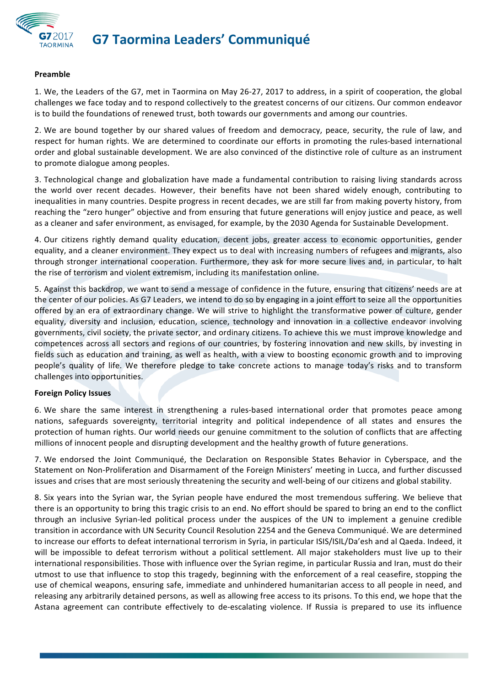

# **G7 Taormina Leaders' Communiqué**

#### **Preamble**

1. We, the Leaders of the G7, met in Taormina on May 26-27, 2017 to address, in a spirit of cooperation, the global challenges we face today and to respond collectively to the greatest concerns of our citizens. Our common endeavor is to build the foundations of renewed trust, both towards our governments and among our countries.

2. We are bound together by our shared values of freedom and democracy, peace, security, the rule of law, and respect for human rights. We are determined to coordinate our efforts in promoting the rules-based international order and global sustainable development. We are also convinced of the distinctive role of culture as an instrument to promote dialogue among peoples.

3. Technological change and globalization have made a fundamental contribution to raising living standards across the world over recent decades. However, their benefits have not been shared widely enough, contributing to inequalities in many countries. Despite progress in recent decades, we are still far from making poverty history, from reaching the "zero hunger" objective and from ensuring that future generations will enjoy justice and peace, as well as a cleaner and safer environment, as envisaged, for example, by the 2030 Agenda for Sustainable Development.

4. Our citizens rightly demand quality education, decent jobs, greater access to economic opportunities, gender equality, and a cleaner environment. They expect us to deal with increasing numbers of refugees and migrants, also through stronger international cooperation. Furthermore, they ask for more secure lives and, in particular, to halt the rise of terrorism and violent extremism, including its manifestation online.

5. Against this backdrop, we want to send a message of confidence in the future, ensuring that citizens' needs are at the center of our policies. As G7 Leaders, we intend to do so by engaging in a joint effort to seize all the opportunities offered by an era of extraordinary change. We will strive to highlight the transformative power of culture, gender equality, diversity and inclusion, education, science, technology and innovation in a collective endeavor involving governments, civil society, the private sector, and ordinary citizens. To achieve this we must improve knowledge and competences across all sectors and regions of our countries, by fostering innovation and new skills, by investing in fields such as education and training, as well as health, with a view to boosting economic growth and to improving people's quality of life. We therefore pledge to take concrete actions to manage today's risks and to transform challenges into opportunities.

## **Foreign Policy Issues**

6. We share the same interest in strengthening a rules-based international order that promotes peace among nations, safeguards sovereignty, territorial integrity and political independence of all states and ensures the protection of human rights. Our world needs our genuine commitment to the solution of conflicts that are affecting millions of innocent people and disrupting development and the healthy growth of future generations.

7. We endorsed the Joint Communiqué, the Declaration on Responsible States Behavior in Cyberspace, and the Statement on Non-Proliferation and Disarmament of the Foreign Ministers' meeting in Lucca, and further discussed issues and crises that are most seriously threatening the security and well-being of our citizens and global stability.

8. Six years into the Syrian war, the Syrian people have endured the most tremendous suffering. We believe that there is an opportunity to bring this tragic crisis to an end. No effort should be spared to bring an end to the conflict through an inclusive Syrian-led political process under the auspices of the UN to implement a genuine credible transition in accordance with UN Security Council Resolution 2254 and the Geneva Communiqué. We are determined to increase our efforts to defeat international terrorism in Syria, in particular ISIS/ISIL/Da'esh and al Qaeda. Indeed, it will be impossible to defeat terrorism without a political settlement. All major stakeholders must live up to their international responsibilities. Those with influence over the Syrian regime, in particular Russia and Iran, must do their utmost to use that influence to stop this tragedy, beginning with the enforcement of a real ceasefire, stopping the use of chemical weapons, ensuring safe, immediate and unhindered humanitarian access to all people in need, and releasing any arbitrarily detained persons, as well as allowing free access to its prisons. To this end, we hope that the Astana agreement can contribute effectively to de-escalating violence. If Russia is prepared to use its influence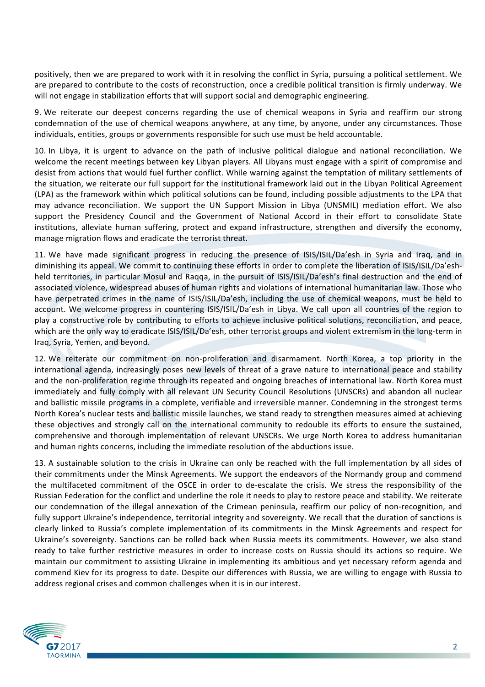positively, then we are prepared to work with it in resolving the conflict in Syria, pursuing a political settlement. We are prepared to contribute to the costs of reconstruction, once a credible political transition is firmly underway. We will not engage in stabilization efforts that will support social and demographic engineering.

9. We reiterate our deepest concerns regarding the use of chemical weapons in Syria and reaffirm our strong condemnation of the use of chemical weapons anywhere, at any time, by anyone, under any circumstances. Those individuals, entities, groups or governments responsible for such use must be held accountable.

10. In Libya, it is urgent to advance on the path of inclusive political dialogue and national reconciliation. We welcome the recent meetings between key Libyan players. All Libyans must engage with a spirit of compromise and desist from actions that would fuel further conflict. While warning against the temptation of military settlements of the situation, we reiterate our full support for the institutional framework laid out in the Libyan Political Agreement (LPA) as the framework within which political solutions can be found, including possible adjustments to the LPA that may advance reconciliation. We support the UN Support Mission in Libya (UNSMIL) mediation effort. We also support the Presidency Council and the Government of National Accord in their effort to consolidate State institutions, alleviate human suffering, protect and expand infrastructure, strengthen and diversify the economy, manage migration flows and eradicate the terrorist threat.

11. We have made significant progress in reducing the presence of ISIS/ISIL/Da'esh in Syria and Iraq, and in diminishing its appeal. We commit to continuing these efforts in order to complete the liberation of ISIS/ISIL/Da'eshheld territories, in particular Mosul and Raqqa, in the pursuit of ISIS/ISIL/Da'esh's final destruction and the end of associated violence, widespread abuses of human rights and violations of international humanitarian law. Those who have perpetrated crimes in the name of ISIS/ISIL/Da'esh, including the use of chemical weapons, must be held to account. We welcome progress in countering ISIS/ISIL/Da'esh in Libya. We call upon all countries of the region to play a constructive role by contributing to efforts to achieve inclusive political solutions, reconciliation, and peace, which are the only way to eradicate ISIS/ISIL/Da'esh, other terrorist groups and violent extremism in the long-term in Iraq, Syria, Yemen, and beyond.

12. We reiterate our commitment on non-proliferation and disarmament. North Korea, a top priority in the international agenda, increasingly poses new levels of threat of a grave nature to international peace and stability and the non-proliferation regime through its repeated and ongoing breaches of international law. North Korea must immediately and fully comply with all relevant UN Security Council Resolutions (UNSCRs) and abandon all nuclear and ballistic missile programs in a complete, verifiable and irreversible manner. Condemning in the strongest terms North Korea's nuclear tests and ballistic missile launches, we stand ready to strengthen measures aimed at achieving these objectives and strongly call on the international community to redouble its efforts to ensure the sustained, comprehensive and thorough implementation of relevant UNSCRs. We urge North Korea to address humanitarian and human rights concerns, including the immediate resolution of the abductions issue.

13. A sustainable solution to the crisis in Ukraine can only be reached with the full implementation by all sides of their commitments under the Minsk Agreements. We support the endeavors of the Normandy group and commend the multifaceted commitment of the OSCE in order to de-escalate the crisis. We stress the responsibility of the Russian Federation for the conflict and underline the role it needs to play to restore peace and stability. We reiterate our condemnation of the illegal annexation of the Crimean peninsula, reaffirm our policy of non-recognition, and fully support Ukraine's independence, territorial integrity and sovereignty. We recall that the duration of sanctions is clearly linked to Russia's complete implementation of its commitments in the Minsk Agreements and respect for Ukraine's sovereignty. Sanctions can be rolled back when Russia meets its commitments. However, we also stand ready to take further restrictive measures in order to increase costs on Russia should its actions so require. We maintain our commitment to assisting Ukraine in implementing its ambitious and yet necessary reform agenda and commend Kiev for its progress to date. Despite our differences with Russia, we are willing to engage with Russia to address regional crises and common challenges when it is in our interest.

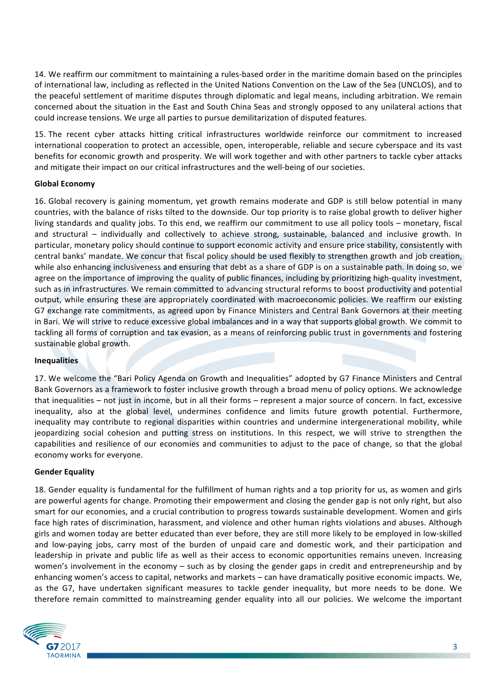14. We reaffirm our commitment to maintaining a rules-based order in the maritime domain based on the principles of international law, including as reflected in the United Nations Convention on the Law of the Sea (UNCLOS), and to the peaceful settlement of maritime disputes through diplomatic and legal means, including arbitration. We remain concerned about the situation in the East and South China Seas and strongly opposed to any unilateral actions that could increase tensions. We urge all parties to pursue demilitarization of disputed features.

15. The recent cyber attacks hitting critical infrastructures worldwide reinforce our commitment to increased international cooperation to protect an accessible, open, interoperable, reliable and secure cyberspace and its vast benefits for economic growth and prosperity. We will work together and with other partners to tackle cyber attacks and mitigate their impact on our critical infrastructures and the well-being of our societies.

## **Global Economy**

16. Global recovery is gaining momentum, yet growth remains moderate and GDP is still below potential in many countries, with the balance of risks tilted to the downside. Our top priority is to raise global growth to deliver higher living standards and quality jobs. To this end, we reaffirm our commitment to use all policy tools – monetary, fiscal and structural – individually and collectively to achieve strong, sustainable, balanced and inclusive growth. In particular, monetary policy should continue to support economic activity and ensure price stability, consistently with central banks' mandate. We concur that fiscal policy should be used flexibly to strengthen growth and job creation, while also enhancing inclusiveness and ensuring that debt as a share of GDP is on a sustainable path. In doing so, we agree on the importance of improving the quality of public finances, including by prioritizing high-quality investment, such as in infrastructures. We remain committed to advancing structural reforms to boost productivity and potential output, while ensuring these are appropriately coordinated with macroeconomic policies. We reaffirm our existing G7 exchange rate commitments, as agreed upon by Finance Ministers and Central Bank Governors at their meeting in Bari. We will strive to reduce excessive global imbalances and in a way that supports global growth. We commit to tackling all forms of corruption and tax evasion, as a means of reinforcing public trust in governments and fostering sustainable global growth.

## **Inequalities**

17. We welcome the "Bari Policy Agenda on Growth and Inequalities" adopted by G7 Finance Ministers and Central Bank Governors as a framework to foster inclusive growth through a broad menu of policy options. We acknowledge that inequalities – not just in income, but in all their forms – represent a major source of concern. In fact, excessive inequality, also at the global level, undermines confidence and limits future growth potential. Furthermore, inequality may contribute to regional disparities within countries and undermine intergenerational mobility, while jeopardizing social cohesion and putting stress on institutions. In this respect, we will strive to strengthen the capabilities and resilience of our economies and communities to adjust to the pace of change, so that the global economy works for everyone.

## **Gender Equality**

18. Gender equality is fundamental for the fulfillment of human rights and a top priority for us, as women and girls are powerful agents for change. Promoting their empowerment and closing the gender gap is not only right, but also smart for our economies, and a crucial contribution to progress towards sustainable development. Women and girls face high rates of discrimination, harassment, and violence and other human rights violations and abuses. Although girls and women today are better educated than ever before, they are still more likely to be employed in low-skilled and low-paying jobs, carry most of the burden of unpaid care and domestic work, and their participation and leadership in private and public life as well as their access to economic opportunities remains uneven. Increasing women's involvement in the economy – such as by closing the gender gaps in credit and entrepreneurship and by enhancing women's access to capital, networks and markets – can have dramatically positive economic impacts. We, as the G7, have undertaken significant measures to tackle gender inequality, but more needs to be done. We therefore remain committed to mainstreaming gender equality into all our policies. We welcome the important

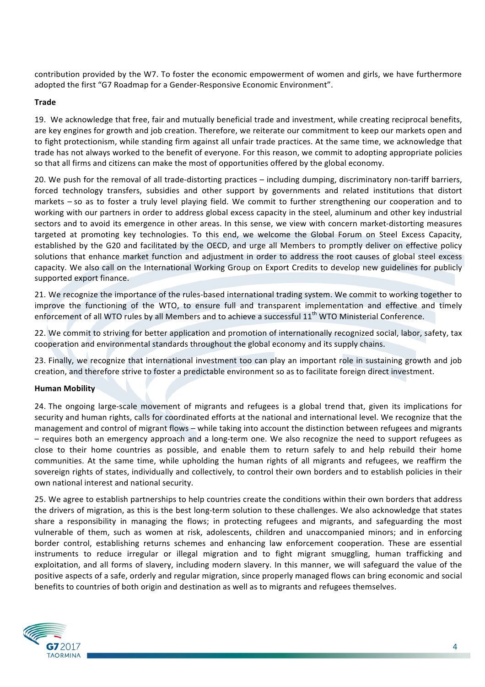contribution provided by the W7. To foster the economic empowerment of women and girls, we have furthermore adopted the first "G7 Roadmap for a Gender-Responsive Economic Environment".

## **Trade**

19. We acknowledge that free, fair and mutually beneficial trade and investment, while creating reciprocal benefits, are key engines for growth and job creation. Therefore, we reiterate our commitment to keep our markets open and to fight protectionism, while standing firm against all unfair trade practices. At the same time, we acknowledge that trade has not always worked to the benefit of everyone. For this reason, we commit to adopting appropriate policies so that all firms and citizens can make the most of opportunities offered by the global economy.

20. We push for the removal of all trade-distorting practices – including dumping, discriminatory non-tariff barriers, forced technology transfers, subsidies and other support by governments and related institutions that distort markets – so as to foster a truly level playing field. We commit to further strengthening our cooperation and to working with our partners in order to address global excess capacity in the steel, aluminum and other key industrial sectors and to avoid its emergence in other areas. In this sense, we view with concern market-distorting measures targeted at promoting key technologies. To this end, we welcome the Global Forum on Steel Excess Capacity, established by the G20 and facilitated by the OECD, and urge all Members to promptly deliver on effective policy solutions that enhance market function and adjustment in order to address the root causes of global steel excess capacity. We also call on the International Working Group on Export Credits to develop new guidelines for publicly supported export finance.

21. We recognize the importance of the rules-based international trading system. We commit to working together to improve the functioning of the WTO, to ensure full and transparent implementation and effective and timely enforcement of all WTO rules by all Members and to achieve a successful 11<sup>th</sup> WTO Ministerial Conference.

22. We commit to striving for better application and promotion of internationally recognized social, labor, safety, tax cooperation and environmental standards throughout the global economy and its supply chains.

23. Finally, we recognize that international investment too can play an important role in sustaining growth and job creation, and therefore strive to foster a predictable environment so as to facilitate foreign direct investment.

## **Human Mobility**

24. The ongoing large-scale movement of migrants and refugees is a global trend that, given its implications for security and human rights, calls for coordinated efforts at the national and international level. We recognize that the management and control of migrant flows – while taking into account the distinction between refugees and migrants – requires both an emergency approach and a long-term one. We also recognize the need to support refugees as close to their home countries as possible, and enable them to return safely to and help rebuild their home communities. At the same time, while upholding the human rights of all migrants and refugees, we reaffirm the sovereign rights of states, individually and collectively, to control their own borders and to establish policies in their own national interest and national security.

25. We agree to establish partnerships to help countries create the conditions within their own borders that address the drivers of migration, as this is the best long-term solution to these challenges. We also acknowledge that states share a responsibility in managing the flows; in protecting refugees and migrants, and safeguarding the most vulnerable of them, such as women at risk, adolescents, children and unaccompanied minors; and in enforcing border control, establishing returns schemes and enhancing law enforcement cooperation. These are essential instruments to reduce irregular or illegal migration and to fight migrant smuggling, human trafficking and exploitation, and all forms of slavery, including modern slavery. In this manner, we will safeguard the value of the positive aspects of a safe, orderly and regular migration, since properly managed flows can bring economic and social benefits to countries of both origin and destination as well as to migrants and refugees themselves.

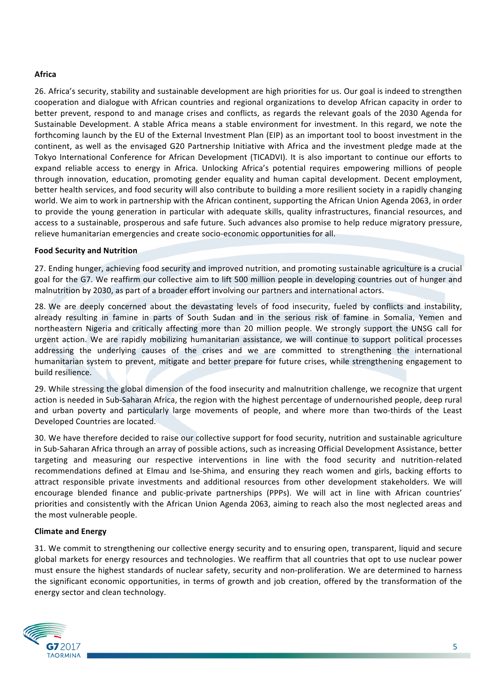## **Africa**

26. Africa's security, stability and sustainable development are high priorities for us. Our goal is indeed to strengthen cooperation and dialogue with African countries and regional organizations to develop African capacity in order to better prevent, respond to and manage crises and conflicts, as regards the relevant goals of the 2030 Agenda for Sustainable Development. A stable Africa means a stable environment for investment. In this regard, we note the forthcoming launch by the EU of the External Investment Plan (EIP) as an important tool to boost investment in the continent, as well as the envisaged G20 Partnership Initiative with Africa and the investment pledge made at the Tokyo International Conference for African Development (TICADVI). It is also important to continue our efforts to expand reliable access to energy in Africa. Unlocking Africa's potential requires empowering millions of people through innovation, education, promoting gender equality and human capital development. Decent employment, better health services, and food security will also contribute to building a more resilient society in a rapidly changing world. We aim to work in partnership with the African continent, supporting the African Union Agenda 2063, in order to provide the young generation in particular with adequate skills, quality infrastructures, financial resources, and access to a sustainable, prosperous and safe future. Such advances also promise to help reduce migratory pressure, relieve humanitarian emergencies and create socio-economic opportunities for all.

## **Food Security and Nutrition**

27. Ending hunger, achieving food security and improved nutrition, and promoting sustainable agriculture is a crucial goal for the G7. We reaffirm our collective aim to lift 500 million people in developing countries out of hunger and malnutrition by 2030, as part of a broader effort involving our partners and international actors.

28. We are deeply concerned about the devastating levels of food insecurity, fueled by conflicts and instability, already resulting in famine in parts of South Sudan and in the serious risk of famine in Somalia, Yemen and northeastern Nigeria and critically affecting more than 20 million people. We strongly support the UNSG call for urgent action. We are rapidly mobilizing humanitarian assistance, we will continue to support political processes addressing the underlying causes of the crises and we are committed to strengthening the international humanitarian system to prevent, mitigate and better prepare for future crises, while strengthening engagement to build resilience.

29. While stressing the global dimension of the food insecurity and malnutrition challenge, we recognize that urgent action is needed in Sub-Saharan Africa, the region with the highest percentage of undernourished people, deep rural and urban poverty and particularly large movements of people, and where more than two-thirds of the Least Developed Countries are located.

30. We have therefore decided to raise our collective support for food security, nutrition and sustainable agriculture in Sub-Saharan Africa through an array of possible actions, such as increasing Official Development Assistance, better targeting and measuring our respective interventions in line with the food security and nutrition-related recommendations defined at Elmau and Ise-Shima, and ensuring they reach women and girls, backing efforts to attract responsible private investments and additional resources from other development stakeholders. We will encourage blended finance and public-private partnerships (PPPs). We will act in line with African countries' priorities and consistently with the African Union Agenda 2063, aiming to reach also the most neglected areas and the most vulnerable people.

## **Climate and Energy**

31. We commit to strengthening our collective energy security and to ensuring open, transparent, liquid and secure global markets for energy resources and technologies. We reaffirm that all countries that opt to use nuclear power must ensure the highest standards of nuclear safety, security and non-proliferation. We are determined to harness the significant economic opportunities, in terms of growth and job creation, offered by the transformation of the energy sector and clean technology.